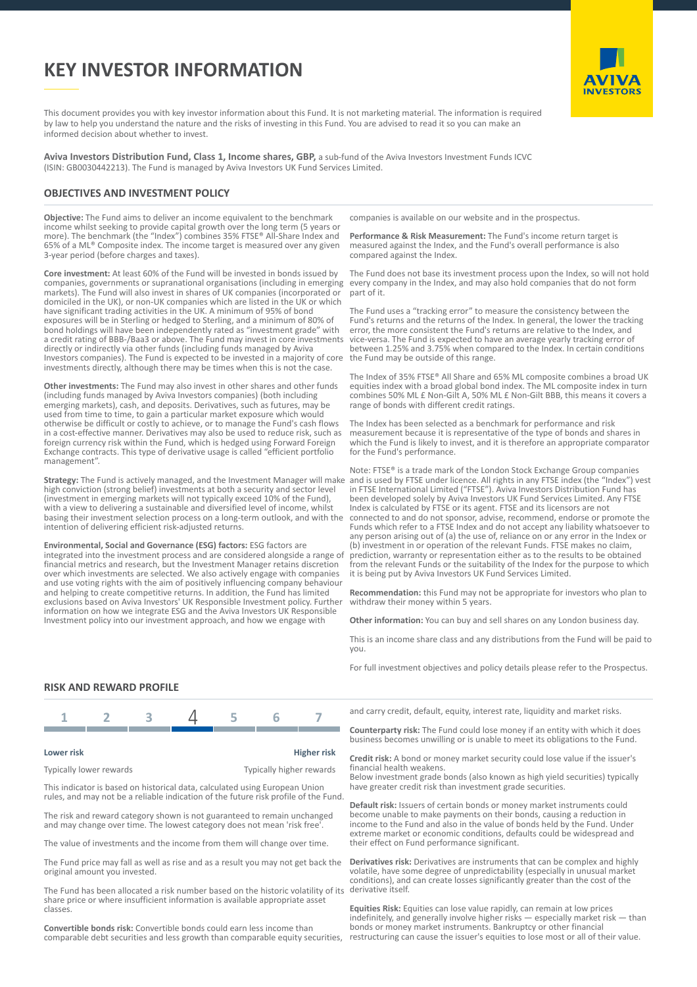# **KEY INVESTOR INFORMATION**



This document provides you with key investor information about this Fund. It is not marketing material. The information is required by law to help you understand the nature and the risks of investing in this Fund. You are advised to read it so you can make an informed decision about whether to invest.

**Aviva Investors Distribution Fund, Class 1, Income shares, GBP,** a sub-fund of the Aviva Investors Investment Funds ICVC (ISIN: GB0030442213). The Fund is managed by Aviva Investors UK Fund Services Limited.

## **OBJECTIVES AND INVESTMENT POLICY**

**Objective:** The Fund aims to deliver an income equivalent to the benchmark income whilst seeking to provide capital growth over the long term (5 years or more). The benchmark (the "Index") combines 35% FTSE® All-Share Index and 65% of a ML® Composite index. The income target is measured over any given 3-year period (before charges and taxes).

**Core investment:** At least 60% of the Fund will be invested in bonds issued by companies, governments or supranational organisations (including in emerging markets). The Fund will also invest in shares of UK companies (incorporated or domiciled in the UK), or non-UK companies which are listed in the UK or which have significant trading activities in the UK. A minimum of 95% of bond exposures will be in Sterling or hedged to Sterling, and a minimum of 80% of bond holdings will have been independently rated as "investment grade" with a credit rating of BBB-/Baa3 or above. The Fund may invest in core investments directly or indirectly via other funds (including funds managed by Aviva Investors companies). The Fund is expected to be invested in a majority of core investments directly, although there may be times when this is not the case.

**Other investments:** The Fund may also invest in other shares and other funds (including funds managed by Aviva Investors companies) (both including emerging markets), cash, and deposits. Derivatives, such as futures, may be used from time to time, to gain a particular market exposure which would otherwise be difficult or costly to achieve, or to manage the Fund's cash flows in a cost-effective manner. Derivatives may also be used to reduce risk, such as foreign currency risk within the Fund, which is hedged using Forward Foreign Exchange contracts. This type of derivative usage is called "efficient portfolio management".

**Strategy:** The Fund is actively managed, and the Investment Manager will make high conviction (strong belief) investments at both a security and sector level (investment in emerging markets will not typically exceed 10% of the Fund), with a view to delivering a sustainable and diversified level of income, whilst basing their investment selection process on a long-term outlook, and with the intention of delivering efficient risk-adjusted returns.

**Environmental, Social and Governance (ESG) factors:** ESG factors are integrated into the investment process and are considered alongside a range of financial metrics and research, but the Investment Manager retains discretion over which investments are selected. We also actively engage with companies and use voting rights with the aim of positively influencing company behaviour and helping to create competitive returns. In addition, the Fund has limited exclusions based on Aviva Investors' UK Responsible Investment policy. Further information on how we integrate ESG and the Aviva Investors UK Responsible Investment policy into our investment approach, and how we engage with

companies is available on our website and in the prospectus.

**Performance & Risk Measurement:** The Fund's income return target is measured against the Index, and the Fund's overall performance is also compared against the Index.

The Fund does not base its investment process upon the Index, so will not hold every company in the Index, and may also hold companies that do not form part of it.

The Fund uses a "tracking error" to measure the consistency between the Fund's returns and the returns of the Index. In general, the lower the tracking error, the more consistent the Fund's returns are relative to the Index, and vice-versa. The Fund is expected to have an average yearly tracking error of between 1.25% and 3.75% when compared to the Index. In certain conditions the Fund may be outside of this range.

The Index of 35% FTSE® All Share and 65% ML composite combines a broad UK equities index with a broad global bond index. The ML composite index in turn combines 50% ML £ Non-Gilt A, 50% ML £ Non-Gilt BBB, this means it covers a range of bonds with different credit ratings.

The Index has been selected as a benchmark for performance and risk measurement because it is representative of the type of bonds and shares in which the Fund is likely to invest, and it is therefore an appropriate comparator for the Fund's performance.

Note: FTSE® is a trade mark of the London Stock Exchange Group companies and is used by FTSE under licence. All rights in any FTSE index (the "Index") vest in FTSE International Limited ("FTSE"). Aviva Investors Distribution Fund has been developed solely by Aviva Investors UK Fund Services Limited. Any FTSE Index is calculated by FTSE or its agent. FTSE and its licensors are not connected to and do not sponsor, advise, recommend, endorse or promote the Funds which refer to a FTSE Index and do not accept any liability whatsoever to any person arising out of (a) the use of, reliance on or any error in the Index or investment in or operation of the relevant Funds. FTSE makes no claim, prediction, warranty or representation either as to the results to be obtained from the relevant Funds or the suitability of the Index for the purpose to which it is being put by Aviva Investors UK Fund Services Limited.

**Recommendation:** this Fund may not be appropriate for investors who plan to withdraw their money within 5 years.

**Other information:** You can buy and sell shares on any London business day.

This is an income share class and any distributions from the Fund will be paid to you.

For full investment objectives and policy details please refer to the Prospectus.

## **RISK AND REWARD PROFILE**



#### **Lower risk Higher risk**

Typically lower rewards Typically higher rewards

This indicator is based on historical data, calculated using European Union rules, and may not be a reliable indication of the future risk profile of the Fund.

The risk and reward category shown is not guaranteed to remain unchanged and may change over time. The lowest category does not mean 'risk free'.

The value of investments and the income from them will change over time.

The Fund price may fall as well as rise and as a result you may not get back the original amount you invested.

The Fund has been allocated a risk number based on the historic volatility of its share price or where insufficient information is available appropriate asset classes.

**Convertible bonds risk:** Convertible bonds could earn less income than comparable debt securities and less growth than comparable equity securities,

and carry credit, default, equity, interest rate, liquidity and market risks.

**Counterparty risk:** The Fund could lose money if an entity with which it does business becomes unwilling or is unable to meet its obligations to the Fund.

**Credit risk:** A bond or money market security could lose value if the issuer's financial health weakens.

Below investment grade bonds (also known as high yield securities) typically have greater credit risk than investment grade securities.

**Default risk:** Issuers of certain bonds or money market instruments could become unable to make payments on their bonds, causing a reduction in income to the Fund and also in the value of bonds held by the Fund. Under extreme market or economic conditions, defaults could be widespread and their effect on Fund performance significant.

**Derivatives risk:** Derivatives are instruments that can be complex and highly volatile, have some degree of unpredictability (especially in unusual market conditions), and can create losses significantly greater than the cost of the derivative itself.

**Equities Risk:** Equities can lose value rapidly, can remain at low prices indefinitely, and generally involve higher risks — especially market risk — than bonds or money market instruments. Bankruptcy or other financial restructuring can cause the issuer's equities to lose most or all of their value.